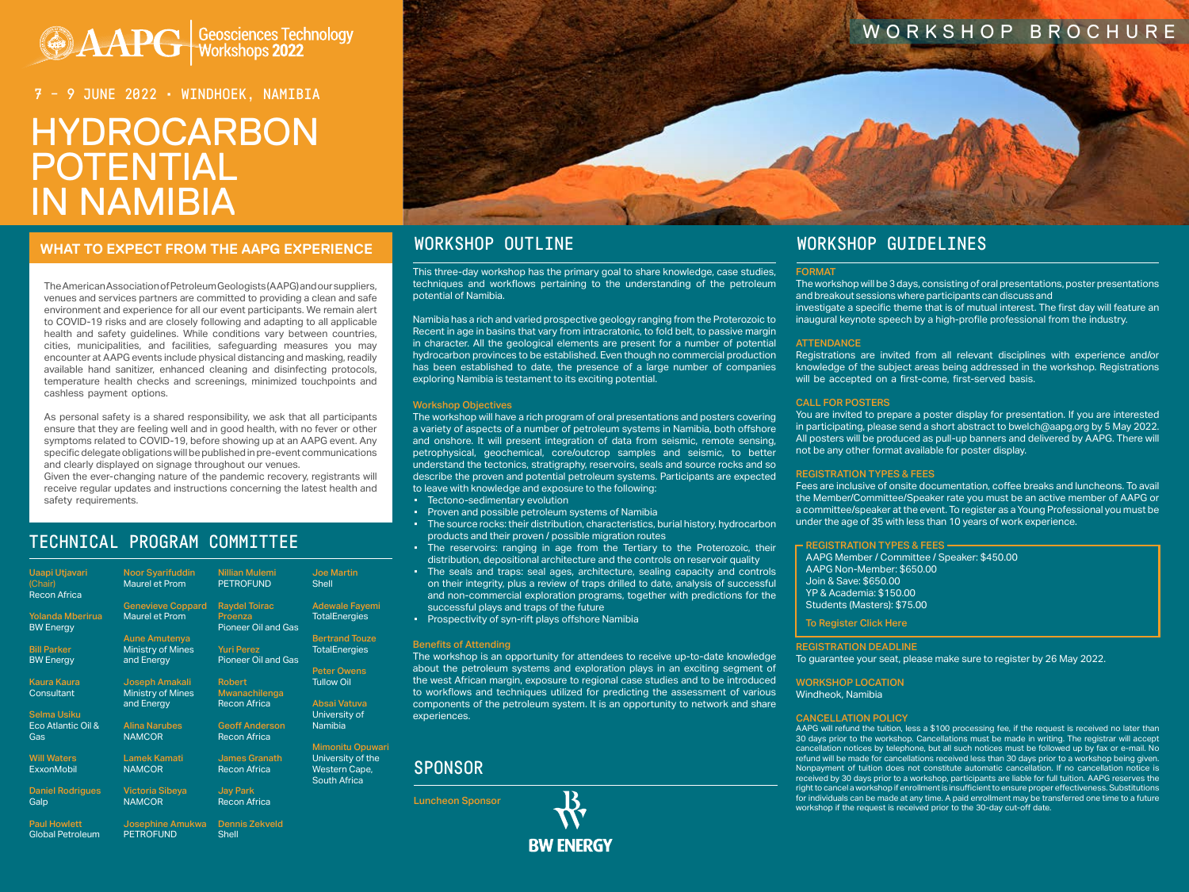# **AAPG Geosciences Technology**

# HYDROCARBON POTENTIAL IN NAMIBIA 7 – 9 JUNE 2022 • WINDHOEK, NAMIBIA

# WHAT TO EXPECT FROM THE AAPG EXPERIENCE WORKSHOP OUTLINE WORKSHOP WORKSHOP GUIDELINES

The American Association of Petroleum Geologists (AAPG) and our suppliers, venues and services partners are committed to providing a clean and safe environment and experience for all our event participants. We remain alert to COVID-19 risks and are closely following and adapting to all applicable health and safety guidelines. While conditions vary between countries, cities, municipalities, and facilities, safeguarding measures you may encounter at AAPG events include physical distancing and masking, readily available hand sanitizer, enhanced cleaning and disinfecting protocols, temperature health checks and screenings, minimized touchpoints and cashless payment options.

As personal safety is a shared responsibility, we ask that all participants ensure that they are feeling well and in good health, with no fever or other symptoms related to COVID-19, before showing up at an AAPG event. Any specific delegate obligations will be published in pre-event communications and clearly displayed on signage throughout our venues.

Given the ever-changing nature of the pandemic recovery, registrants will receive regular updates and instructions concerning the latest health and safety requirements.

# TECHNICAL PROGRAM COMMITTEE

This three-day workshop has the primary goal to share knowledge, case studies, techniques and workflows pertaining to the understanding of the petroleum potential of Namibia.

Namibia has a rich and varied prospective geology ranging from the Proterozoic to Recent in age in basins that vary from intracratonic, to fold belt, to passive margin in character. All the geological elements are present for a number of potential hydrocarbon provinces to be established. Even though no commercial production has been established to date, the presence of a large number of companies exploring Namibia is testament to its exciting potential.

# Workshop Objectives

The workshop will have a rich program of oral presentations and posters covering a variety of aspects of a number of petroleum systems in Namibia, both offshore and onshore. It will present integration of data from seismic, remote sensing, petrophysical, geochemical, core/outcrop samples and seismic, to better understand the tectonics, stratigraphy, reservoirs, seals and source rocks and so describe the proven and potential petroleum systems. Participants are expected to leave with knowledge and exposure to the following:

- Tectono-sedimentary evolution
- Proven and possible petroleum systems of Namibia
- The source rocks: their distribution, characteristics, burial history, hydrocarbon products and their proven / possible migration routes
- The reservoirs: ranging in age from the Tertiary to the Proterozoic, their distribution, depositional architecture and the controls on reservoir quality
- The seals and traps: seal ages, architecture, sealing capacity and controls on their integrity, plus a review of traps drilled to date, analysis of successful and non-commercial exploration programs, together with predictions for the successful plays and traps of the future
- Prospectivity of syn-rift plays offshore Namibia

# Benefits of Attending

# WORKSHOP BROCHURE

| <b>Uaapi Utjavari</b><br>(Chair)<br><b>Recon Africa</b> | <b>Noor Syarifuddin</b><br><b>Maurel et Prom</b> | <b>Nillian Mulemi</b><br><b>PETROFUND</b>       | <b>Joe Martin</b><br><b>Shell</b>    |
|---------------------------------------------------------|--------------------------------------------------|-------------------------------------------------|--------------------------------------|
|                                                         | <b>Genevieve Coppard</b>                         | <b>Raydel Toirac</b>                            | <b>Adewale Fayemi</b>                |
| <b>Yolanda Mberirua</b><br><b>BW Energy</b>             | Maurel et Prom                                   | Proenza<br><b>Pioneer Oil and Gas</b>           | <b>TotalEnergies</b>                 |
|                                                         | <b>Aune Amutenya</b>                             |                                                 | <b>Bertrand Touze</b>                |
| <b>Bill Parker</b><br><b>BW Energy</b>                  | <b>Ministry of Mines</b><br>and Energy           | <b>Yuri Perez</b><br><b>Pioneer Oil and Gas</b> | <b>TotalEnergies</b>                 |
|                                                         |                                                  |                                                 | <b>Peter Owens</b>                   |
| <b>Kaura Kaura</b>                                      | Joseph Amakali                                   | <b>Robert</b>                                   | <b>Tullow Oil</b>                    |
| Consultant                                              | <b>Ministry of Mines</b>                         | Mwanachilenga                                   |                                      |
|                                                         | and Energy                                       | <b>Recon Africa</b>                             | Absai Vatuva                         |
| <b>Selma Usiku</b>                                      |                                                  |                                                 | University of                        |
| Eco Atlantic Oil &                                      | <b>Alina Narubes</b>                             | <b>Geoff Anderson</b>                           | <b>Namibia</b>                       |
| Gas                                                     | <b>NAMCOR</b>                                    | <b>Recon Africa</b>                             |                                      |
|                                                         |                                                  |                                                 | <b>Mimonitu Opuwari</b>              |
| <b>Will Waters</b>                                      | <b>Lamek Kamati</b>                              | <b>James Granath</b>                            | University of the                    |
| <b>ExxonMobil</b>                                       | <b>NAMCOR</b>                                    | <b>Recon Africa</b>                             | Western Cape,<br><b>South Africa</b> |
| <b>Daniel Rodrigues</b>                                 | <b>Victoria Sibeya</b>                           | <b>Jay Park</b>                                 |                                      |
| Galp                                                    | <b>NAMCOR</b>                                    | <b>Recon Africa</b>                             |                                      |
| <b>Paul Howlett</b>                                     | Josephine Amukwa                                 | <b>Dennis Zekveld</b>                           |                                      |
| <b>Global Petroleum</b>                                 | <b>PETROFUND</b>                                 | <b>Shell</b>                                    |                                      |



# FORMAT

The workshop is an opportunity for attendees to receive up-to-date knowledge about the petroleum systems and exploration plays in an exciting segment of the west African margin, exposure to regional case studies and to be introduced to workflows and techniques utilized for predicting the assessment of various components of the petroleum system. It is an opportunity to network and share experiences. To guarantee your seat, please make sure to register by 26 May 2022. WORKSHOP LOCATION Windheok, Namibia CANCELLATION POLICY

The workshop will be 3 days, consisting of oral presentations, poster presentations and breakout sessions where participants can discuss and investigate a specific theme that is of mutual interest. The first day will feature an inaugural keynote speech by a high-profile professional from the industry.

# **ATTENDANCE**

Registrations are invited from all relevant disciplines with experience and/or knowledge of the subject areas being addressed in the workshop. Registrations will be accepted on a first-come, first-served basis.

# CALL FOR POSTERS

You are invited to prepare a poster display for presentation. If you are interested in participating, please send a short abstract to bwelch@aapg.org by 5 May 2022. All posters will be produced as pull-up banners and delivered by AAPG. There will not be any other format available for poster display.

## REGISTRATION TYPES & FEES

Fees are inclusive of onsite documentation, coffee breaks and luncheons. To avail the Member/Committee/Speaker rate you must be an active member of AAPG or a committee/speaker at the event. To register as a Young Professional you must be under the age of 35 with less than 10 years of work experience.

# REGISTRATION TYPES & FEES

AAPG Member / Committee / Speaker: \$450.00 AAPG Non-Member: \$650.00 Join & Save: \$650.00 YP & Academia: \$150.00 Students (Masters): \$75.00

[To Register Click Here](https://www.aapg.org/global/africa/events/workshop/articleid/61114/hydrocarbon-potential-in-namibia#152302391-registration)

# REGISTRATION DEADLINE

AAPG will refund the tuition, less a \$100 processing fee, if the request is received no later than 30 days prior to the workshop. Cancellations must be made in writing. The registrar will accept cancellation notices by telephone, but all such notices must be followed up by fax or e-mail. No refund will be made for cancellations received less than 30 days prior to a workshop being given. Nonpayment of tuition does not constitute automatic cancellation. If no cancellation notice is received by 30 days prior to a workshop, participants are liable for full tuition. AAPG reserves the right to cancel a workshop if enrollment is insufficient to ensure proper effectiveness. Substitutions for individuals can be made at any time. A paid enrollment may be transferred one time to a future workshop if the request is received prior to the 30-day cut-off date.

# SPONSOR

Luncheon Sponsor

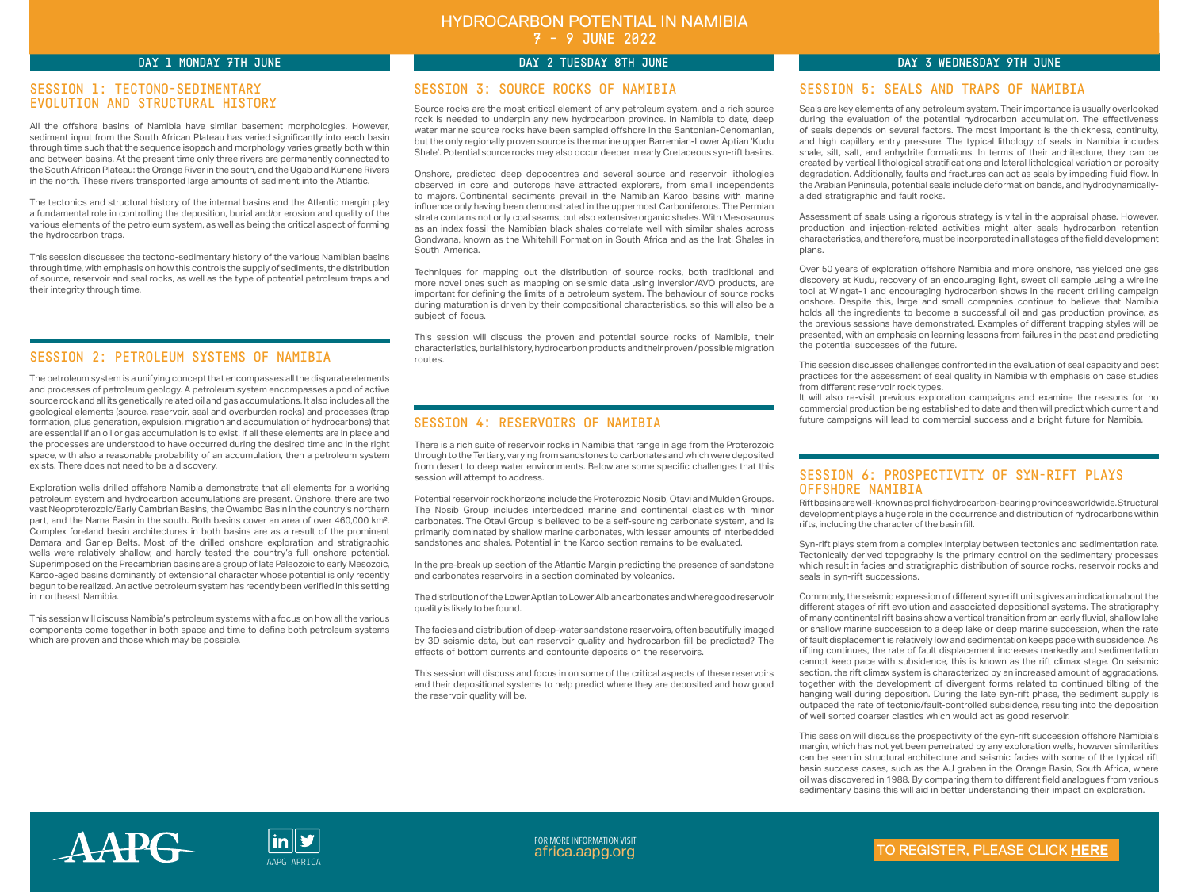All the offshore basins of Namibia have similar basement morphologies. However, sediment input from the South African Plateau has varied significantly into each basin through time such that the sequence isopach and morphology varies greatly both within and between basins. At the present time only three rivers are permanently connected to the South African Plateau: the Orange River in the south, and the Ugab and Kunene Rivers in the north. These rivers transported large amounts of sediment into the Atlantic.

The tectonics and structural history of the internal basins and the Atlantic margin play a fundamental role in controlling the deposition, burial and/or erosion and quality of the various elements of the petroleum system, as well as being the critical aspect of forming the hydrocarbon traps.

This session discusses the tectono-sedimentary history of the various Namibian basins through time, with emphasis on how this controls the supply of sediments, the distribution of source, reservoir and seal rocks, as well as the type of potential petroleum traps and their integrity through time.

Source rocks are the most critical element of any petroleum system, and a rich source rock is needed to underpin any new hydrocarbon province. In Namibia to date, deep water marine source rocks have been sampled offshore in the Santonian-Cenomanian, but the only regionally proven source is the marine upper Barremian-Lower Aptian 'Kudu Shale'. Potential source rocks may also occur deeper in early Cretaceous syn-rift basins.

Onshore, predicted deep depocentres and several source and reservoir lithologies observed in core and outcrops have attracted explorers, from small independents to majors. Continental sediments prevail in the Namibian Karoo basins with marine influence only having been demonstrated in the uppermost Carboniferous. The Permian strata contains not only coal seams, but also extensive organic shales. With Mesosaurus as an index fossil the Namibian black shales correlate well with similar shales across Gondwana, known as the Whitehill Formation in South Africa and as the Irati Shales in South America.

Techniques for mapping out the distribution of source rocks, both traditional and more novel ones such as mapping on seismic data using inversion/AVO products, are important for defining the limits of a petroleum system. The behaviour of source rocks during maturation is driven by their compositional characteristics, so this will also be a subject of focus.

This session will discuss the proven and potential source rocks of Namibia, their characteristics, burial history, hydrocarbon products and their proven / possible migration routes.

Seals are key elements of any petroleum system. Their importance is usually overlooked during the evaluation of the potential hydrocarbon accumulation. The effectiveness of seals depends on several factors. The most important is the thickness, continuity, and high capillary entry pressure. The typical lithology of seals in Namibia includes shale, silt, salt, and anhydrite formations. In terms of their architecture, they can be created by vertical lithological stratifications and lateral lithological variation or porosity degradation. Additionally, faults and fractures can act as seals by impeding fluid flow. In the Arabian Peninsula, potential seals include deformation bands, and hydrodynamicallyaided stratigraphic and fault rocks.

Assessment of seals using a rigorous strategy is vital in the appraisal phase. However, production and injection-related activities might alter seals hydrocarbon retention characteristics, and therefore, must be incorporated in all stages of the field development plans.

Over 50 years of exploration offshore Namibia and more onshore, has yielded one gas discovery at Kudu, recovery of an encouraging light, sweet oil sample using a wireline tool at Wingat-1 and encouraging hydrocarbon shows in the recent drilling campaign onshore. Despite this, large and small companies continue to believe that Namibia holds all the ingredients to become a successful oil and gas production province, as the previous sessions have demonstrated. Examples of different trapping styles will be presented, with an emphasis on learning lessons from failures in the past and predicting the potential successes of the future.

This session discusses challenges confronted in the evaluation of seal capacity and best practices for the assessment of seal quality in Namibia with emphasis on case studies from different reservoir rock types.

It will also re-visit previous exploration campaigns and examine the reasons for no commercial production being established to date and then will predict which current and future campaigns will lead to commercial success and a bright future for Namibia.

Rift basins are well-known as prolific hydrocarbon-bearing provinces worldwide. Structural development plays a huge role in the occurrence and distribution of hydrocarbons within rifts, including the character of the basin fill.

Syn-rift plays stem from a complex interplay between tectonics and sedimentation rate. Tectonically derived topography is the primary control on the sedimentary processes which result in facies and stratigraphic distribution of source rocks, reservoir rocks and seals in syn-rift successions.

FOR MORE INFORMATION VISIT [africa.aapg.org](https://www.aapg.org/global/africa/events) APG AFRICA

Commonly, the seismic expression of different syn-rift units gives an indication about the different stages of rift evolution and associated depositional systems. The stratigraphy of many continental rift basins show a vertical transition from an early fluvial, shallow lake or shallow marine succession to a deep lake or deep marine succession, when the rate of fault displacement is relatively low and sedimentation keeps pace with subsidence. As rifting continues, the rate of fault displacement increases markedly and sedimentation cannot keep pace with subsidence, this is known as the rift climax stage. On seismic section, the rift climax system is characterized by an increased amount of aggradations, together with the development of divergent forms related to continued tilting of the hanging wall during deposition. During the late syn-rift phase, the sediment supply is outpaced the rate of tectonic/fault-controlled subsidence, resulting into the deposition of well sorted coarser clastics which would act as good reservoir.

This session will discuss the prospectivity of the syn-rift succession offshore Namibia's margin, which has not yet been penetrated by any exploration wells, however similarities can be seen in structural architecture and seismic facies with some of the typical rift basin success cases, such as the AJ graben in the Orange Basin, South Africa, where oil was discovered in 1988. By comparing them to different field analogues from various sedimentary basins this will aid in better understanding their impact on exploration.

The petroleum system is a unifying concept that encompasses all the disparate elements and processes of petroleum geology. A petroleum system encompasses a pod of active source rock and all its genetically related oil and gas accumulations. It also includes all the geological elements (source, reservoir, seal and overburden rocks) and processes (trap formation, plus generation, expulsion, migration and accumulation of hydrocarbons) that are essential if an oil or gas accumulation is to exist. If all these elements are in place and the processes are understood to have occurred during the desired time and in the right space, with also a reasonable probability of an accumulation, then a petroleum system exists. There does not need to be a discovery.

Exploration wells drilled offshore Namibia demonstrate that all elements for a working petroleum system and hydrocarbon accumulations are present. Onshore, there are two vast Neoproterozoic/Early Cambrian Basins, the Owambo Basin in the country's northern part, and the Nama Basin in the south. Both basins cover an area of over 460,000 km². Complex foreland basin architectures in both basins are as a result of the prominent Damara and Gariep Belts. Most of the drilled onshore exploration and stratigraphic wells were relatively shallow, and hardly tested the country's full onshore potential. Superimposed on the Precambrian basins are a group of late Paleozoic to early Mesozoic, Karoo-aged basins dominantly of extensional character whose potential is only recently begun to be realized. An active petroleum system has recently been verified in this setting in northeast Namibia.

This session will discuss Namibia's petroleum systems with a focus on how all the various components come together in both space and time to define both petroleum systems which are proven and those which may be possible.

There is a rich suite of reservoir rocks in Namibia that range in age from the Proterozoic through to the Tertiary, varying from sandstones to carbonates and which were deposited from desert to deep water environments. Below are some specific challenges that this session will attempt to address.

Potential reservoir rock horizons include the Proterozoic Nosib, Otavi and Mulden Groups. The Nosib Group includes interbedded marine and continental clastics with minor carbonates. The Otavi Group is believed to be a self-sourcing carbonate system, and is primarily dominated by shallow marine carbonates, with lesser amounts of interbedded sandstones and shales. Potential in the Karoo section remains to be evaluated.

In the pre-break up section of the Atlantic Margin predicting the presence of sandstone and carbonates reservoirs in a section dominated by volcanics.

The distribution of the Lower Aptian to Lower Albian carbonates and where good reservoir quality is likely to be found.

The facies and distribution of deep-water sandstone reservoirs, often beautifully imaged by 3D seismic data, but can reservoir quality and hydrocarbon fill be predicted? The effects of bottom currents and contourite deposits on the reservoirs.

This session will discuss and focus in on some of the critical aspects of these reservoirs and their depositional systems to help predict where they are deposited and how good the reservoir quality will be.





# DAY 1 MONDAY 7TH JUNE DAY 2 TUESDAY 8TH JUNE DAY 3 WEDNESDAY 9TH JUNE

# SESSION 1: TECTONO-SEDIMENTARY EVOLUTION AND STRUCTURAL HISTORY

# SESSION 2: PETROLEUM SYSTEMS OF NAMIBIA

# SESSION 3: SOURCE ROCKS OF NAMIBIA

# SESSION 4: RESERVOIRS OF NAMIBIA

# SESSION 5: SEALS AND TRAPS OF NAMIBIA

# SESSION 6: PROSPECTIVITY OF SYN-RIFT PLAYS OFFSHORE NAMIBIA

# HYDROCARBON POTENTIAL IN NAMIBIA 7 – 9 JUNE 2022

# TO REGISTER, PLEASE CLICK **[HERE](https://www.aapg.org/global/africa/events/workshop/articleid/61114/hydrocarbon-potential-in-namibia#152302391-registration)**